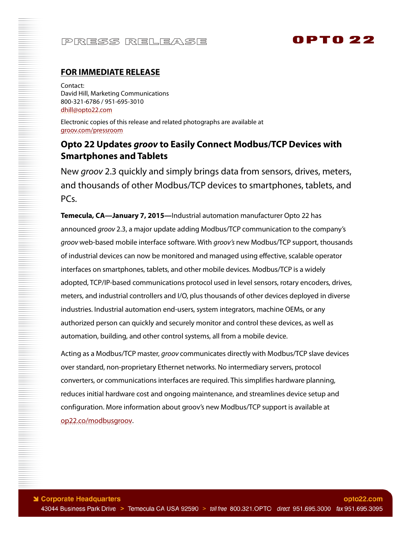## PRESS RELEASE

# **OPTO 22**

### **FOR IMMEDIATE RELEASE**

Contact: David Hill, Marketing Communications 800-321-6786 / 951-695-3010 [dhill@opto22.com](mailto:dhill@opto22.com)

Electronic copies of this release and related photographs are available at [groov.com/pressroom](http://groov.com/pressroom)

### **Opto 22 Updates** *groov* **to Easily Connect Modbus/TCP Devices with Smartphones and Tablets**

New *groov* 2.3 quickly and simply brings data from sensors, drives, meters, and thousands of other Modbus/TCP devices to smartphones, tablets, and PCs.

**Temecula, CA—January 7, 2015—**Industrial automation manufacturer Opto 22 has announced *groov* 2.3, a major update adding Modbus/TCP communication to the company's *groov* web-based mobile interface software. With *groov's* new Modbus/TCP support, thousands of industrial devices can now be monitored and managed using effective, scalable operator interfaces on smartphones, tablets, and other mobile devices. Modbus/TCP is a widely adopted, TCP/IP-based communications protocol used in level sensors, rotary encoders, drives, meters, and industrial controllers and I/O, plus thousands of other devices deployed in diverse industries. Industrial automation end-users, system integrators, machine OEMs, or any authorized person can quickly and securely monitor and control these devices, as well as automation, building, and other control systems, all from a mobile device.

Acting as a Modbus/TCP master, *groov* communicates directly with Modbus/TCP slave devices over standard, non-proprietary Ethernet networks. No intermediary servers, protocol converters, or communications interfaces are required. This simplifies hardware planning, reduces initial hardware cost and ongoing maintenance, and streamlines device setup and configuration. More information about groov's new Modbus/TCP support is available at [op22.co/modbusgroov.](http://op22.co/modbusgroov)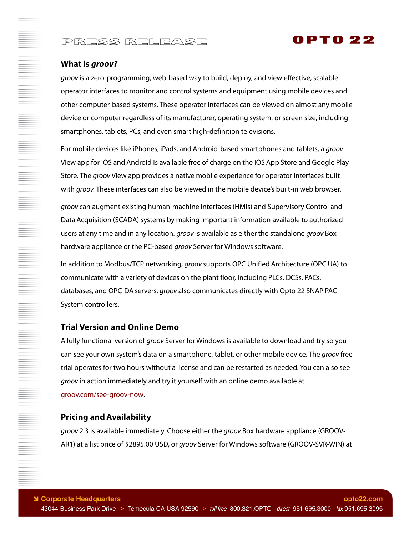## PRESS RELEASE

### 0PT0 22

#### **What is** *groov?*

*groov* is a zero-programming, web-based way to build, deploy, and view effective, scalable operator interfaces to monitor and control systems and equipment using mobile devices and other computer-based systems. These operator interfaces can be viewed on almost any mobile device or computer regardless of its manufacturer, operating system, or screen size, including smartphones, tablets, PCs, and even smart high-definition televisions.

For mobile devices like iPhones, iPads, and Android-based smartphones and tablets, a *groov*  View app for iOS and Android is available free of charge on the iOS App Store and Google Play Store. The *groov* View app provides a native mobile experience for operator interfaces built with *groov.* These interfaces can also be viewed in the mobile device's built-in web browser.

*groov* can augment existing human-machine interfaces (HMIs) and Supervisory Control and Data Acquisition (SCADA) systems by making important information available to authorized users at any time and in any location. *groov* is available as either the standalone *groov* Box hardware appliance or the PC-based *groov* Server for Windows software.

In addition to Modbus/TCP networking, *groov* supports OPC Unified Architecture (OPC UA) to communicate with a variety of devices on the plant floor, including PLCs, DCSs, PACs, databases, and OPC-DA servers. *groov* also communicates directly with Opto 22 SNAP PAC System controllers.

#### **Trial Version and Online Demo**

A fully functional version of *groov* Server for Windows is available to download and try so you can see your own system's data on a smartphone, tablet, or other mobile device. The *groov* free trial operates for two hours without a license and can be restarted as needed. You can also see *groov* in action immediately and try it yourself with an online demo available at [groov.com/see-groov-now.](http://groov.com/see-groov-now)

#### **Pricing and Availability**

*groov* 2.3 is available immediately. Choose either the *groov* Box hardware appliance (GROOV-AR1) at a list price of \$2895.00 USD, or *groov* Server for Windows software (GROOV-SVR-WIN) at